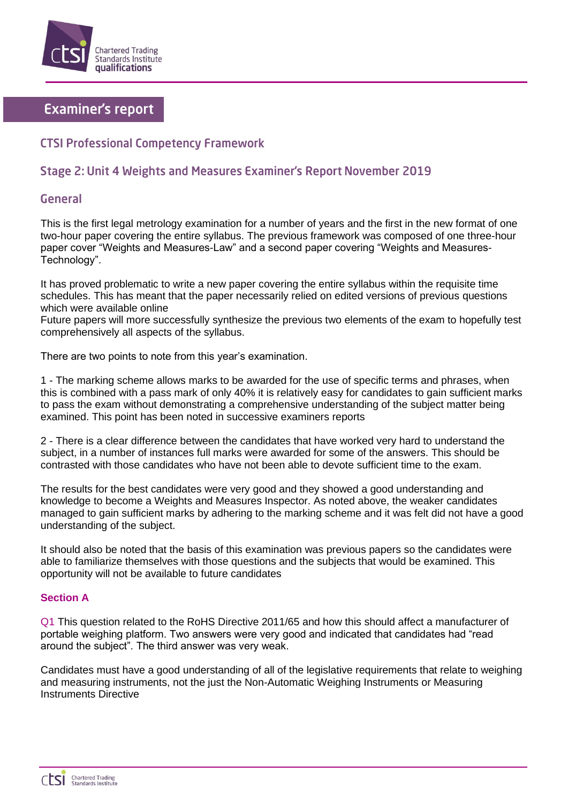

# **Examiner's report**

# **CTSI Professional Competency Framework**

## Stage 2: Unit 4 Weights and Measures Examiner's Report November 2019

### General

This is the first legal metrology examination for a number of years and the first in the new format of one two-hour paper covering the entire syllabus. The previous framework was composed of one three-hour paper cover "Weights and Measures-Law" and a second paper covering "Weights and Measures-Technology".

It has proved problematic to write a new paper covering the entire syllabus within the requisite time schedules. This has meant that the paper necessarily relied on edited versions of previous questions which were available online

Future papers will more successfully synthesize the previous two elements of the exam to hopefully test comprehensively all aspects of the syllabus.

There are two points to note from this year's examination.

1 - The marking scheme allows marks to be awarded for the use of specific terms and phrases, when this is combined with a pass mark of only 40% it is relatively easy for candidates to gain sufficient marks to pass the exam without demonstrating a comprehensive understanding of the subject matter being examined. This point has been noted in successive examiners reports

2 - There is a clear difference between the candidates that have worked very hard to understand the subject, in a number of instances full marks were awarded for some of the answers. This should be contrasted with those candidates who have not been able to devote sufficient time to the exam.

The results for the best candidates were very good and they showed a good understanding and knowledge to become a Weights and Measures Inspector. As noted above, the weaker candidates managed to gain sufficient marks by adhering to the marking scheme and it was felt did not have a good understanding of the subject.

It should also be noted that the basis of this examination was previous papers so the candidates were able to familiarize themselves with those questions and the subjects that would be examined. This opportunity will not be available to future candidates

#### **Section A**

Q1 This question related to the RoHS Directive 2011/65 and how this should affect a manufacturer of portable weighing platform. Two answers were very good and indicated that candidates had "read around the subject". The third answer was very weak.

Candidates must have a good understanding of all of the legislative requirements that relate to weighing and measuring instruments, not the just the Non-Automatic Weighing Instruments or Measuring Instruments Directive